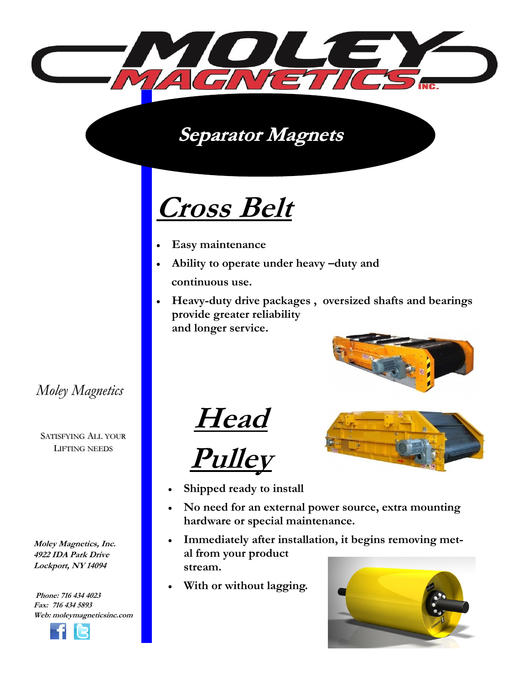

**Separator Magnets** 

## **Cross Belt**

- **Easy maintenance**
- **Ability to operate under heavy –duty and continuous use.**
- **Heavy-duty drive packages , oversized shafts and bearings provide greater reliability and longer service.**







- **Shipped ready to install**
- **No need for an external power source, extra mounting hardware or special maintenance.**
- **Immediately after installation, it begins removing metal from your product stream.**
- **With or without lagging.**



*Moley Magnetics* 

SATISFYING ALL YOUR LIFTING NEEDS

**Moley Magnetics, Inc. 4922 IDA Park Drive Lockport, NY 14094**

**Phone: 716 434 4023 Fax: 716 434 5893 Web: moleymagneticsinc.com**